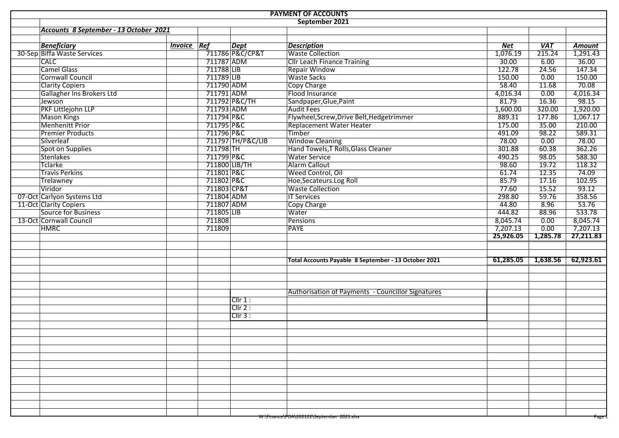| <b>PAYMENT OF ACCOUNTS</b> |                                        |                    |             |                                                   |                                                      |            |            |                        |  |  |  |
|----------------------------|----------------------------------------|--------------------|-------------|---------------------------------------------------|------------------------------------------------------|------------|------------|------------------------|--|--|--|
|                            |                                        |                    |             |                                                   | September 2021                                       |            |            |                        |  |  |  |
|                            | Accounts 8 September - 13 October 2021 |                    |             |                                                   |                                                      |            |            |                        |  |  |  |
|                            |                                        |                    |             |                                                   |                                                      |            |            |                        |  |  |  |
|                            | <b>Beneficiary</b>                     | <b>Invoice Ref</b> |             | <b>Dept</b>                                       | <b>Description</b>                                   | <b>Net</b> | <b>VAT</b> | <b>Amount</b>          |  |  |  |
|                            | 30-Sep Biffa Waste Services            |                    |             | 711786 P&C/CP&T                                   | <b>Waste Collection</b>                              | 1,076.19   | 215.24     | $\frac{1}{2}$ , 291.43 |  |  |  |
|                            | <b>CALC</b>                            |                    | 711787 ADM  |                                                   | <b>Cllr Leach Finance Training</b>                   | 30.00      | 6.00       | 36.00                  |  |  |  |
|                            | <b>Camel Glass</b>                     |                    | 711788 LIB  |                                                   | <b>Repair Window</b>                                 | 122.78     | 24.56      | 147.34                 |  |  |  |
|                            | <b>Cornwall Council</b>                |                    | 711789 LIB  |                                                   | <b>Waste Sacks</b>                                   | 150.00     | 0.00       | 150.00                 |  |  |  |
|                            | <b>Clarity Copiers</b>                 |                    | 711790 ADM  |                                                   | Copy Charge                                          | 58.40      | 11.68      | 70.08                  |  |  |  |
|                            | Gallagher Ins Brokers Ltd              |                    | 711791 ADM  |                                                   | Flood Insurance                                      | 4,016.34   | 0.00       | 4,016.34               |  |  |  |
|                            | Jewson                                 |                    |             | 711792 P&C/TH                                     | Sandpaper, Glue, Paint                               | 81.79      | 16.36      | 98.15                  |  |  |  |
|                            | PKF Littlejohn LLP                     |                    | 711793 ADM  |                                                   | <b>Audit Fees</b>                                    | 1,600.00   | 320.00     | 1,920.00               |  |  |  |
|                            | <b>Mason Kings</b>                     |                    | 711794 P&C  |                                                   | Flywheel, Screw, Drive Belt, Hedgetrimmer            | 889.31     | 177.86     | 1,067.17               |  |  |  |
|                            | <b>Menhenitt Prior</b>                 |                    | 711795 P&C  |                                                   | Replacement Water Heater                             | 175.00     | 35.00      | 210.00                 |  |  |  |
|                            | <b>Premier Products</b>                |                    | 711796 P&C  |                                                   | Timber                                               | 491.09     | 98.22      | 589.31                 |  |  |  |
|                            | Silverleaf                             |                    |             | 711797 TH/P&C/LIB                                 | <b>Window Cleaning</b>                               | 78.00      | 0.00       | 78.00                  |  |  |  |
|                            | Spot on Supplies                       |                    | 711798 TH   |                                                   | Hand Towels, T Rolls, Glass Cleaner                  | 301.88     | 60.38      | 362.26                 |  |  |  |
|                            | <b>Stenlakes</b>                       |                    | 711799 P&C  |                                                   | <b>Water Service</b>                                 | 490.25     | 98.05      | 588.30                 |  |  |  |
|                            | Tclarke                                |                    |             | 711800 LIB/TH                                     | Alarm Callout                                        | 98.60      | 19.72      | 118.32                 |  |  |  |
|                            | <b>Travis Perkins</b>                  |                    | 711801 P&C  |                                                   | Weed Control, Oil                                    | 61.74      | 12.35      | 74.09                  |  |  |  |
|                            | <b>Trelawney</b>                       |                    | 711802 P&C  |                                                   | Hoe, Secateurs. Log Roll                             | 85.79      | 17.16      | 102.95                 |  |  |  |
|                            | Viridor                                |                    | 711803 CP&T |                                                   | <b>Waste Collection</b>                              | 77.60      | 15.52      | 93.12                  |  |  |  |
|                            | 07-Oct Carlyon Systems Ltd             |                    | 711804 ADM  |                                                   | <b>IT Services</b>                                   | 298.80     | 59.76      | 358.56                 |  |  |  |
|                            | 11-Oct Clarity Copiers                 |                    | 711807 ADM  |                                                   | <b>Copy Charge</b>                                   | 44.80      | 8.96       | 53.76                  |  |  |  |
|                            | <b>Source for Business</b>             |                    | 711805 LIB  |                                                   | Water                                                | 444.82     | 88.96      | 533.78                 |  |  |  |
|                            | 13-Oct Cornwall Council                |                    | 711808      |                                                   | Pensions                                             | 8,045.74   | 0.00       | 8,045.74               |  |  |  |
|                            | <b>HMRC</b>                            |                    | 711809      |                                                   | <b>PAYE</b>                                          | 7,207.13   | 0.00       | 7,207.13               |  |  |  |
|                            |                                        |                    |             |                                                   |                                                      | 25,926.05  | 1,285.78   | 27,211.83              |  |  |  |
|                            |                                        |                    |             |                                                   |                                                      |            |            |                        |  |  |  |
|                            |                                        |                    |             |                                                   |                                                      |            |            |                        |  |  |  |
|                            |                                        |                    |             |                                                   | Total Accounts Payable 8 September - 13 October 2021 | 61,285.05  | 1,638.56   | 62,923.61              |  |  |  |
|                            |                                        |                    |             |                                                   |                                                      |            |            |                        |  |  |  |
|                            |                                        |                    |             |                                                   |                                                      |            |            |                        |  |  |  |
|                            |                                        |                    |             |                                                   |                                                      |            |            |                        |  |  |  |
|                            |                                        |                    |             | Authorisation of Payments - Councillor Signatures |                                                      |            |            |                        |  |  |  |
|                            |                                        |                    |             | Cllr 1:                                           |                                                      |            |            |                        |  |  |  |
|                            |                                        |                    |             | Clir 2:                                           |                                                      |            |            |                        |  |  |  |
|                            |                                        |                    |             | CIIr3:                                            |                                                      |            |            |                        |  |  |  |
|                            |                                        |                    |             |                                                   |                                                      |            |            |                        |  |  |  |
|                            |                                        |                    |             |                                                   |                                                      |            |            |                        |  |  |  |
|                            |                                        |                    |             |                                                   |                                                      |            |            |                        |  |  |  |
|                            |                                        |                    |             |                                                   |                                                      |            |            |                        |  |  |  |
|                            |                                        |                    |             |                                                   |                                                      |            |            |                        |  |  |  |
|                            |                                        |                    |             |                                                   |                                                      |            |            |                        |  |  |  |
|                            |                                        |                    |             |                                                   |                                                      |            |            |                        |  |  |  |
|                            |                                        |                    |             |                                                   |                                                      |            |            |                        |  |  |  |
|                            |                                        |                    |             |                                                   |                                                      |            |            |                        |  |  |  |
|                            |                                        |                    |             |                                                   |                                                      |            |            |                        |  |  |  |
|                            |                                        |                    |             |                                                   |                                                      |            |            |                        |  |  |  |
|                            |                                        |                    |             |                                                   |                                                      |            |            |                        |  |  |  |
|                            |                                        |                    |             |                                                   | W:\Finance\POA\202122\September 2021.xisx            |            |            | rage i                 |  |  |  |